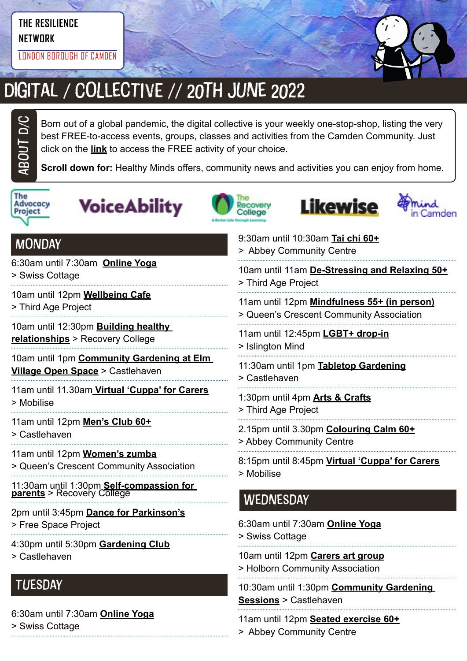## **THE RESILIENCE**

**NETWORK**

LONDON BOROUGH OF CAMDEN



## DIGITAL / COLLECTIVE // 20TH JUNE 2022

Born out of a global pandemic, the digital collective is your weekly one-stop-shop, listing the very best FREE-to-access events, groups, classes and activities from the Camden Community. Just click on the **link** to access the FREE activity of your choice.

**Scroll down for:** Healthy Minds offers, community news and activities you can enjoy from home.



ABOUt D/C









| <b>MONDAY</b>                                                          | 9:30am until 10:30am Tai chi 60+<br>> Abbey Community Centre                 |
|------------------------------------------------------------------------|------------------------------------------------------------------------------|
| 6:30am until 7:30am Online Yoga                                        | 10am until 11am De-Stressing and Relaxing 50+                                |
| > Swiss Cottage                                                        | > Third Age Project                                                          |
| 10am until 12pm Wellbeing Cafe                                         | 11am until 12pm Mindfulness 55+ (in person)                                  |
| > Third Age Project                                                    | > Queen's Crescent Community Association                                     |
| 10am until 12:30pm <b>Building healthy</b>                             | 11am until 12:45pm LGBT+ drop-in                                             |
| relationships > Recovery College                                       | > Islington Mind                                                             |
| 10am until 1pm Community Gardening at Elm                              | 11:30am until 1pm Tabletop Gardening                                         |
| <b>Village Open Space &gt; Castlehaven</b>                             | > Castlehaven                                                                |
| 11am until 11.30am Virtual 'Cuppa' for Carers                          | 1:30pm until 4pm <b>Arts &amp; Crafts</b>                                    |
| > Mobilise                                                             | > Third Age Project                                                          |
| 11am until 12pm Men's Club 60+                                         | 2.15pm until 3.30pm <b>Colouring Calm 60+</b>                                |
| > Castlehaven                                                          | > Abbey Community Centre                                                     |
| 11am until 12pm Women's zumba                                          | 8:15pm until 8:45pm Virtual 'Cuppa' for Carers                               |
| > Queen's Crescent Community Association                               | > Mobilise                                                                   |
| 11:30am until 1:30pm Self-compassion for<br>parents > Recovery College | WEDNESDAY                                                                    |
| 2pm until 3:45pm Dance for Parkinson's                                 | 6:30am until 7:30am Online Yoga                                              |
| > Free Space Project                                                   | > Swiss Cottage                                                              |
| 4:30pm until 5:30pm Gardening Club                                     | 10am until 12pm Carers art group                                             |
| > Castlehaven                                                          | > Holborn Community Association                                              |
| <b>TUESDAY</b>                                                         | 10:30am until 1:30pm Community Gardening<br><b>Sessions &gt; Castlehaven</b> |
| 6:30am until 7:30am Online Yoga                                        | 11am until 12pm Seated exercise 60+                                          |
| > Swiss Cottage                                                        | > Abbey Community Centre                                                     |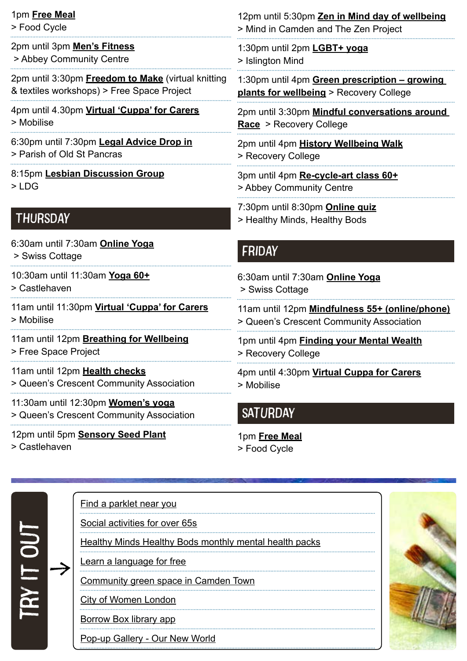| 1pm Free Meal                                                                  | 12pm until 5:30pm Zen in Mind day of wellbeing                   |
|--------------------------------------------------------------------------------|------------------------------------------------------------------|
| > Food Cycle                                                                   | > Mind in Camden and The Zen Project                             |
| 2pm until 3pm Men's Fitness                                                    | 1:30pm until 2pm LGBT+ yoga                                      |
| > Abbey Community Centre                                                       | > Islington Mind                                                 |
| 2pm until 3:30pm <b>Freedom to Make</b> (virtual knitting                      | 1:30pm until 4pm Green prescription - growing                    |
| & textiles workshops) > Free Space Project                                     | plants for wellbeing > Recovery College                          |
| 4pm until 4.30pm Virtual 'Cuppa' for Carers                                    | 2pm until 3:30pm Mindful conversations around                    |
| > Mobilise                                                                     | Race > Recovery College                                          |
| 6:30pm until 7:30pm Legal Advice Drop in                                       | 2pm until 4pm History Wellbeing Walk                             |
| > Parish of Old St Pancras                                                     | > Recovery College                                               |
| 8:15pm Lesbian Discussion Group                                                | 3pm until 4pm Re-cycle-art class 60+                             |
| $>$ LDG                                                                        | > Abbey Community Centre                                         |
| <b>THURSDAY</b>                                                                | 7:30pm until 8:30pm Online quiz<br>> Healthy Minds, Healthy Bods |
| 6:30am until 7:30am Online Yoga<br>> Swiss Cottage                             | <b>FRIDAY</b>                                                    |
|                                                                                |                                                                  |
| 10:30am until 11:30am Yoga 60+                                                 | 6:30am until 7:30am Online Yoga                                  |
| > Castlehaven                                                                  | > Swiss Cottage                                                  |
| 11am until 11:30pm Virtual 'Cuppa' for Carers                                  | 11am until 12pm Mindfulness 55+ (online/phone)                   |
| > Mobilise                                                                     | > Queen's Crescent Community Association                         |
| 11am until 12pm Breathing for Wellbeing                                        | 1pm until 4pm <b>Finding your Mental Wealth</b>                  |
| > Free Space Project                                                           | > Recovery College                                               |
| 11am until 12pm Health checks                                                  | 4pm until 4:30pm Virtual Cuppa for Carers                        |
| > Queen's Crescent Community Association                                       | > Mobilise                                                       |
| 11:30am until 12:30pm Women's yoga<br>> Queen's Crescent Community Association | <b>SATURDAY</b>                                                  |

## [Find a parklet near you](https://parkletsacrosscamden.commonplace.is/) [Social activities for over 65s](https://northlondoncares.org.uk/social-clubs#) try it out [Healthy Minds Healthy Bods monthly mental health packs](https://www.hmhb2016.org.uk/copy-of-monthly-health-packs-may-21) [Learn a language for free](https://jointoucan.com/?utm_source=twitter&utm_medium=cpc&utm_campaign=toucan-2-wt&twclid=11512072843810332675) > [Community green space in Camden Town](https://twitter.com/CCA_Camden/status/1509146355465428994) [City of Women London](file:https://www.cityofwomenlondon.org/) [Borrow Box library app](file:https://www.borrowbox.com/) [Pop-up Gallery - Our New World](https://www.internationalwomensday.com/Activity/17304/Pop-up-Gallery-Our-New-World)